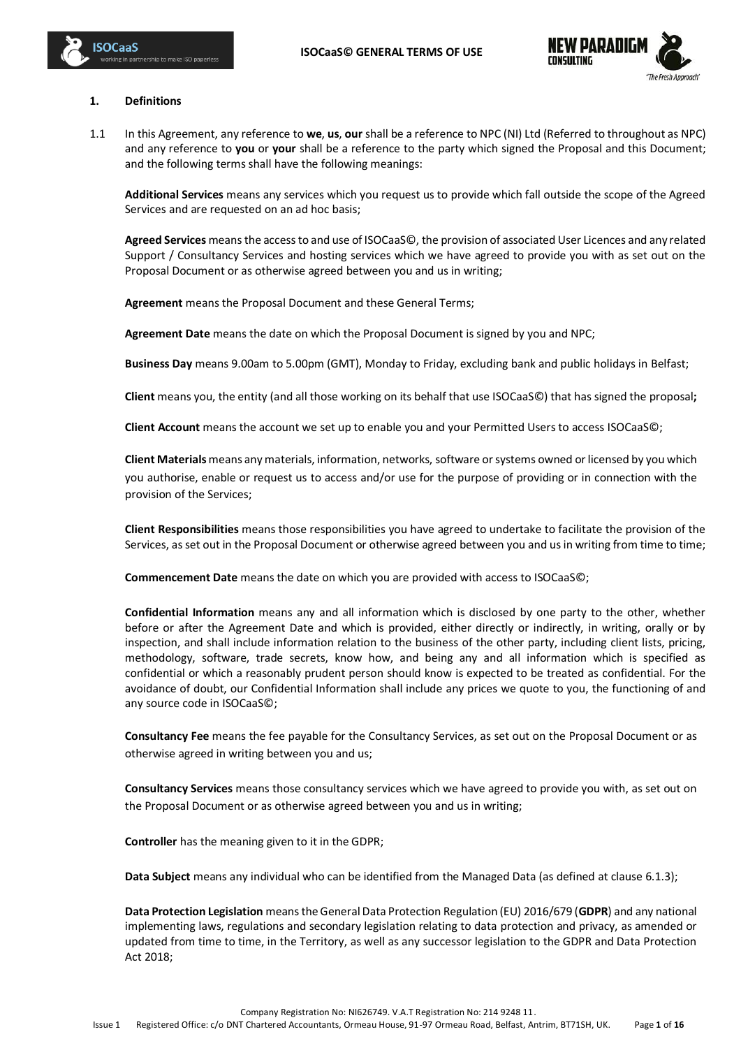



### **1. Definitions**

1.1 In this Agreement, any reference to **we**, **us**, **our** shall be a reference to NPC (NI) Ltd (Referred to throughout as NPC) and any reference to **you** or **your** shall be a reference to the party which signed the Proposal and this Document; and the following terms shall have the following meanings:

**Additional Services** means any services which you request us to provide which fall outside the scope of the Agreed Services and are requested on an ad hoc basis;

**Agreed Services** means the access to and use of ISOCaaS©, the provision of associated User Licences and any related Support / Consultancy Services and hosting services which we have agreed to provide you with as set out on the Proposal Document or as otherwise agreed between you and us in writing;

**Agreement** means the Proposal Document and these General Terms;

**Agreement Date** means the date on which the Proposal Document is signed by you and NPC;

**Business Day** means 9.00am to 5.00pm (GMT), Monday to Friday, excluding bank and public holidays in Belfast;

**Client** means you, the entity (and all those working on its behalf that use ISOCaaS©) that has signed the proposal**;**

**Client Account** means the account we set up to enable you and your Permitted Users to access ISOCaaS©;

**Client Materials**means any materials, information, networks, software or systems owned or licensed by you which you authorise, enable or request us to access and/or use for the purpose of providing or in connection with the provision of the Services;

**Client Responsibilities** means those responsibilities you have agreed to undertake to facilitate the provision of the Services, as set out in the Proposal Document or otherwise agreed between you and us in writing from time to time;

**Commencement Date** means the date on which you are provided with access to ISOCaaS©;

**Confidential Information** means any and all information which is disclosed by one party to the other, whether before or after the Agreement Date and which is provided, either directly or indirectly, in writing, orally or by inspection, and shall include information relation to the business of the other party, including client lists, pricing, methodology, software, trade secrets, know how, and being any and all information which is specified as confidential or which a reasonably prudent person should know is expected to be treated as confidential. For the avoidance of doubt, our Confidential Information shall include any prices we quote to you, the functioning of and any source code in ISOCaaS©;

**Consultancy Fee** means the fee payable for the Consultancy Services, as set out on the Proposal Document or as otherwise agreed in writing between you and us;

**Consultancy Services** means those consultancy services which we have agreed to provide you with, as set out on the Proposal Document or as otherwise agreed between you and us in writing;

**Controller** has the meaning given to it in the GDPR;

**Data Subject** means any individual who can be identified from the Managed Data (as defined at clause 6.1.3);

**Data Protection Legislation** means the General Data Protection Regulation (EU) 2016/679 (**GDPR**) and any national implementing laws, regulations and secondary legislation relating to data protection and privacy, as amended or updated from time to time, in the Territory, as well as any successor legislation to the GDPR and Data Protection Act 2018;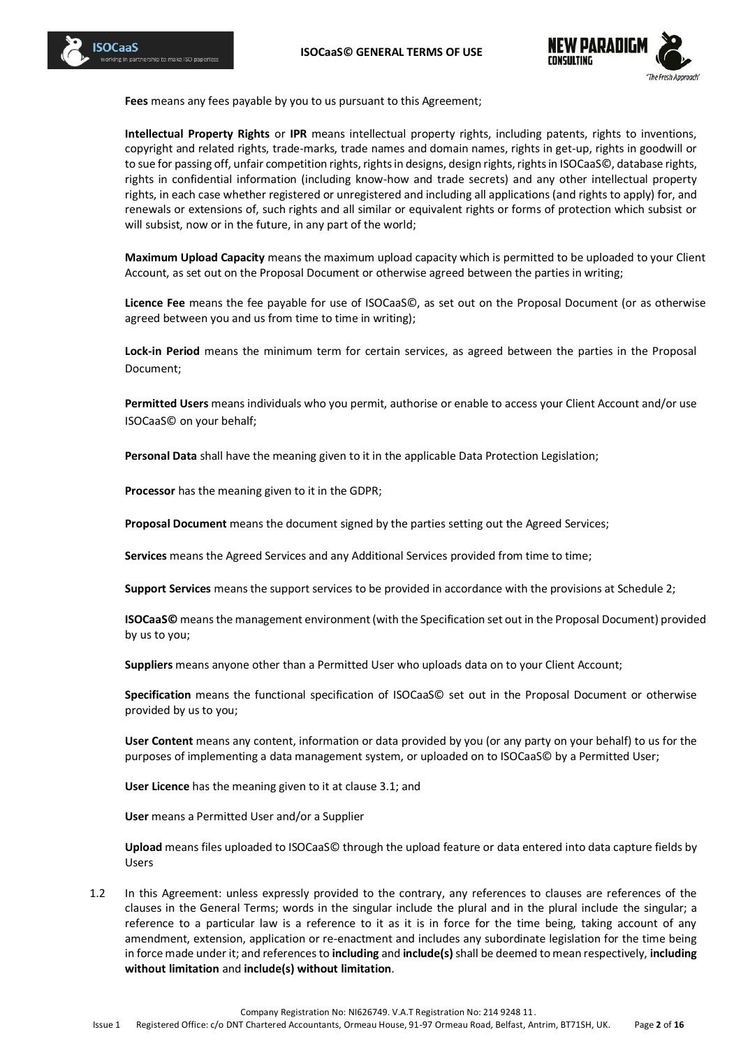

**Fees** means any fees payable by you to us pursuant to this Agreement;

**ISOCaaS** 

nership to make ISO paperles

**Intellectual Property Rights** or **IPR** means intellectual property rights, including patents, rights to inventions, copyright and related rights, trade-marks, trade names and domain names, rights in get-up, rights in goodwill or to sue for passing off, unfair competition rights, rights in designs, design rights, rights in ISOCaaS©, database rights, rights in confidential information (including know-how and trade secrets) and any other intellectual property rights, in each case whether registered or unregistered and including all applications (and rights to apply) for, and renewals or extensions of, such rights and all similar or equivalent rights or forms of protection which subsist or will subsist, now or in the future, in any part of the world;

**Maximum Upload Capacity** means the maximum upload capacity which is permitted to be uploaded to your Client Account, as set out on the Proposal Document or otherwise agreed between the parties in writing;

**Licence Fee** means the fee payable for use of ISOCaaS©, as set out on the Proposal Document (or as otherwise agreed between you and us from time to time in writing);

**Lock-in Period** means the minimum term for certain services, as agreed between the parties in the Proposal Document;

**Permitted Users** means individuals who you permit, authorise or enable to access your Client Account and/or use ISOCaaS© on your behalf;

**Personal Data** shall have the meaning given to it in the applicable Data Protection Legislation;

**Processor** has the meaning given to it in the GDPR;

**Proposal Document** means the document signed by the parties setting out the Agreed Services;

**Services** means the Agreed Services and any Additional Services provided from time to time;

**Support Services** means the support services to be provided in accordance with the provisions at Schedule 2;

**ISOCaaS©** means the management environment (with the Specification set out in the Proposal Document) provided by us to you;

**Suppliers** means anyone other than a Permitted User who uploads data on to your Client Account;

**Specification** means the functional specification of ISOCaaS© set out in the Proposal Document or otherwise provided by us to you;

**User Content** means any content, information or data provided by you (or any party on your behalf) to us for the purposes of implementing a data management system, or uploaded on to ISOCaaS© by a Permitted User;

**User Licence** has the meaning given to it at clause 3.1; and

**User** means a Permitted User and/or a Supplier

**Upload** means files uploaded to ISOCaaS© through the upload feature or data entered into data capture fields by Users

1.2 In this Agreement: unless expressly provided to the contrary, any references to clauses are references of the clauses in the General Terms; words in the singular include the plural and in the plural include the singular; a reference to a particular law is a reference to it as it is in force for the time being, taking account of any amendment, extension, application or re-enactment and includes any subordinate legislation for the time being in force made under it; and references to **including** and **include(s)**shall be deemed to mean respectively, **including without limitation** and **include(s) without limitation**.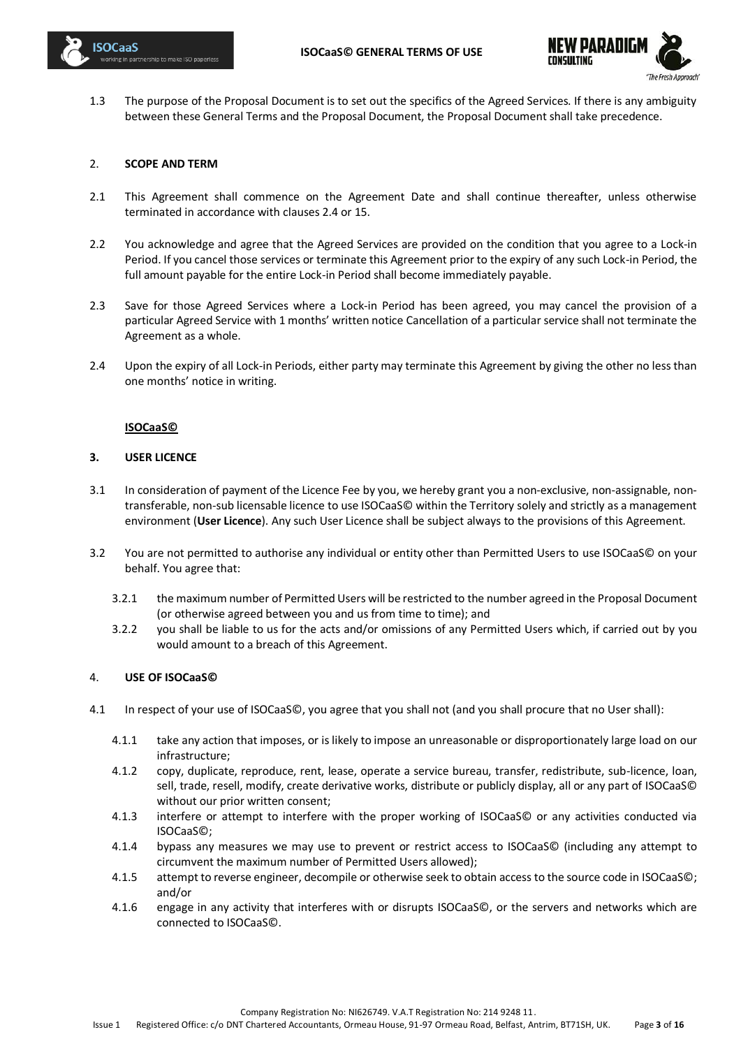



1.3 The purpose of the Proposal Document is to set out the specifics of the Agreed Services. If there is any ambiguity between these General Terms and the Proposal Document, the Proposal Document shall take precedence.

### 2. **SCOPE AND TERM**

- 2.1 This Agreement shall commence on the Agreement Date and shall continue thereafter, unless otherwise terminated in accordance with clauses 2.4 or 15.
- 2.2 You acknowledge and agree that the Agreed Services are provided on the condition that you agree to a Lock-in Period. If you cancel those services or terminate this Agreement prior to the expiry of any such Lock-in Period, the full amount payable for the entire Lock-in Period shall become immediately payable.
- 2.3 Save for those Agreed Services where a Lock-in Period has been agreed, you may cancel the provision of a particular Agreed Service with 1 months' written notice Cancellation of a particular service shall not terminate the Agreement as a whole.
- 2.4 Upon the expiry of all Lock-in Periods, either party may terminate this Agreement by giving the other no less than one months' notice in writing.

#### **ISOCaaS©**

#### **3. USER LICENCE**

- 3.1 In consideration of payment of the Licence Fee by you, we hereby grant you a non-exclusive, non-assignable, nontransferable, non-sub licensable licence to use ISOCaaS© within the Territory solely and strictly as a management environment (**User Licence**). Any such User Licence shall be subject always to the provisions of this Agreement.
- 3.2 You are not permitted to authorise any individual or entity other than Permitted Users to use ISOCaaS© on your behalf. You agree that:
	- 3.2.1 the maximum number of Permitted Users will be restricted to the number agreed in the Proposal Document (or otherwise agreed between you and us from time to time); and
	- 3.2.2 you shall be liable to us for the acts and/or omissions of any Permitted Users which, if carried out by you would amount to a breach of this Agreement.

#### 4. **USE OF ISOCaaS©**

- 4.1 In respect of your use of ISOCaaS©, you agree that you shall not (and you shall procure that no User shall):
	- 4.1.1 take any action that imposes, or is likely to impose an unreasonable or disproportionately large load on our infrastructure;
	- 4.1.2 copy, duplicate, reproduce, rent, lease, operate a service bureau, transfer, redistribute, sub-licence, loan, sell, trade, resell, modify, create derivative works, distribute or publicly display, all or any part of ISOCaaS© without our prior written consent;
	- 4.1.3 interfere or attempt to interfere with the proper working of ISOCaaS© or any activities conducted via ISOCaaS©;
	- 4.1.4 bypass any measures we may use to prevent or restrict access to ISOCaaS© (including any attempt to circumvent the maximum number of Permitted Users allowed);
	- 4.1.5 attempt to reverse engineer, decompile or otherwise seek to obtain access to the source code in ISOCaaS©; and/or
	- 4.1.6 engage in any activity that interferes with or disrupts ISOCaaS©, or the servers and networks which are connected to ISOCaaS©.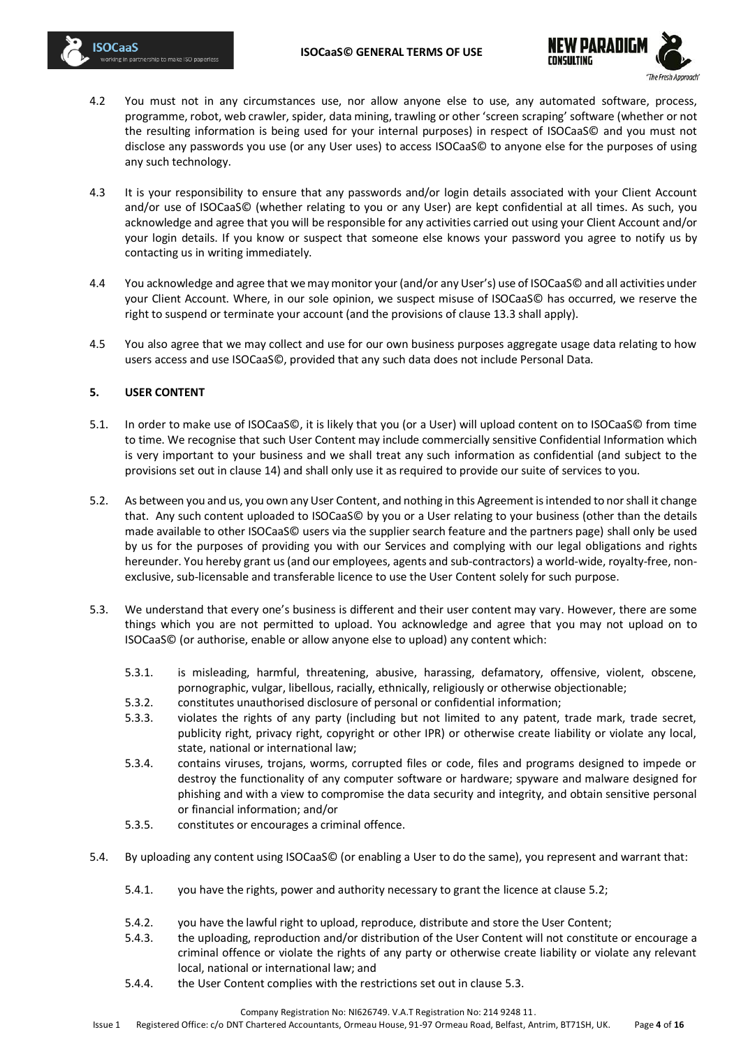

- 4.2 You must not in any circumstances use, nor allow anyone else to use, any automated software, process, programme, robot, web crawler, spider, data mining, trawling or other 'screen scraping' software (whether or not the resulting information is being used for your internal purposes) in respect of ISOCaaS© and you must not disclose any passwords you use (or any User uses) to access ISOCaaS© to anyone else for the purposes of using any such technology.
- 4.3 It is your responsibility to ensure that any passwords and/or login details associated with your Client Account and/or use of ISOCaaS© (whether relating to you or any User) are kept confidential at all times. As such, you acknowledge and agree that you will be responsible for any activities carried out using your Client Account and/or your login details. If you know or suspect that someone else knows your password you agree to notify us by contacting us in writing immediately.
- 4.4 You acknowledge and agree that wemay monitor your (and/or any User's) use of ISOCaaS© and all activities under your Client Account. Where, in our sole opinion, we suspect misuse of ISOCaaS© has occurred, we reserve the right to suspend or terminate your account (and the provisions of clause 13.3 shall apply).
- 4.5 You also agree that we may collect and use for our own business purposes aggregate usage data relating to how users access and use ISOCaaS©, provided that any such data does not include Personal Data.

# **5. USER CONTENT**

**ISOCaaS** 

n partnership to make ISO paperles

- 5.1. In order to make use of ISOCaaS©, it is likely that you (or a User) will upload content on to ISOCaaS© from time to time. We recognise that such User Content may include commercially sensitive Confidential Information which is very important to your business and we shall treat any such information as confidential (and subject to the provisions set out in clause 14) and shall only use it as required to provide our suite of services to you.
- 5.2. As between you and us, you own any User Content, and nothing in this Agreement is intended to nor shall it change that. Any such content uploaded to ISOCaaS© by you or a User relating to your business (other than the details made available to other ISOCaaS© users via the supplier search feature and the partners page) shall only be used by us for the purposes of providing you with our Services and complying with our legal obligations and rights hereunder. You hereby grant us(and our employees, agents and sub-contractors) a world-wide, royalty-free, nonexclusive, sub-licensable and transferable licence to use the User Content solely for such purpose.
- 5.3. We understand that every one's business is different and their user content may vary. However, there are some things which you are not permitted to upload. You acknowledge and agree that you may not upload on to ISOCaaS© (or authorise, enable or allow anyone else to upload) any content which:
	- 5.3.1. is misleading, harmful, threatening, abusive, harassing, defamatory, offensive, violent, obscene, pornographic, vulgar, libellous, racially, ethnically, religiously or otherwise objectionable;
	- 5.3.2. constitutes unauthorised disclosure of personal or confidential information;
	- 5.3.3. violates the rights of any party (including but not limited to any patent, trade mark, trade secret, publicity right, privacy right, copyright or other IPR) or otherwise create liability or violate any local, state, national or international law;
	- 5.3.4. contains viruses, trojans, worms, corrupted files or code, files and programs designed to impede or destroy the functionality of any computer software or hardware; spyware and malware designed for phishing and with a view to compromise the data security and integrity, and obtain sensitive personal or financial information; and/or
	- 5.3.5. constitutes or encourages a criminal offence.
- 5.4. By uploading any content using ISOCaaS© (or enabling a User to do the same), you represent and warrant that:
	- 5.4.1. you have the rights, power and authority necessary to grant the licence at clause 5.2;
	- 5.4.2. you have the lawful right to upload, reproduce, distribute and store the User Content;
	- 5.4.3. the uploading, reproduction and/or distribution of the User Content will not constitute or encourage a criminal offence or violate the rights of any party or otherwise create liability or violate any relevant local, national or international law; and
	- 5.4.4. the User Content complies with the restrictions set out in clause 5.3.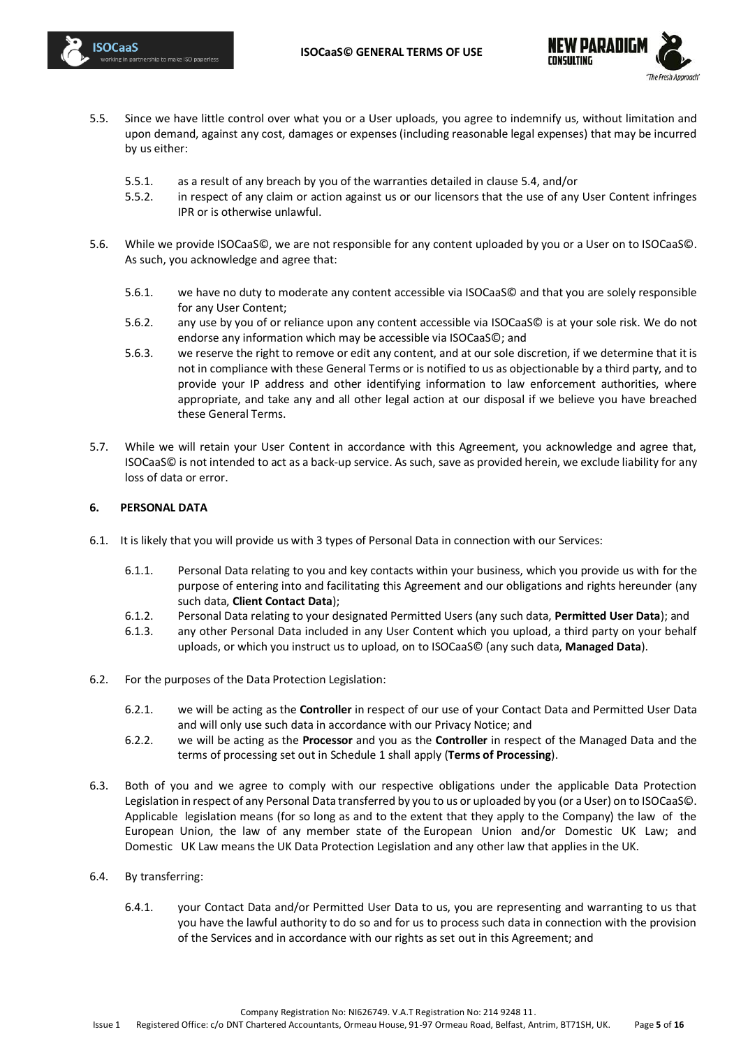



- 5.5. Since we have little control over what you or a User uploads, you agree to indemnify us, without limitation and upon demand, against any cost, damages or expenses (including reasonable legal expenses) that may be incurred by us either:
	- 5.5.1. as a result of any breach by you of the warranties detailed in clause 5.4, and/or
	- 5.5.2. in respect of any claim or action against us or our licensors that the use of any User Content infringes IPR or is otherwise unlawful.
- 5.6. While we provide ISOCaaS©, we are not responsible for any content uploaded by you or a User on to ISOCaaS©. As such, you acknowledge and agree that:
	- 5.6.1. we have no duty to moderate any content accessible via ISOCaaS© and that you are solely responsible for any User Content;
	- 5.6.2. any use by you of or reliance upon any content accessible via ISOCaaS© is at your sole risk. We do not endorse any information which may be accessible via ISOCaaS©; and
	- 5.6.3. we reserve the right to remove or edit any content, and at our sole discretion, if we determine that it is not in compliance with these General Terms or is notified to us as objectionable by a third party, and to provide your IP address and other identifying information to law enforcement authorities, where appropriate, and take any and all other legal action at our disposal if we believe you have breached these General Terms.
- 5.7. While we will retain your User Content in accordance with this Agreement, you acknowledge and agree that, ISOCaaS© is not intended to act as a back-up service. As such, save as provided herein, we exclude liability for any loss of data or error.

### **6. PERSONAL DATA**

- 6.1. It is likely that you will provide us with 3 types of Personal Data in connection with our Services:
	- 6.1.1. Personal Data relating to you and key contacts within your business, which you provide us with for the purpose of entering into and facilitating this Agreement and our obligations and rights hereunder (any such data, **Client Contact Data**);
	- 6.1.2. Personal Data relating to your designated Permitted Users (any such data, **Permitted User Data**); and
	- 6.1.3. any other Personal Data included in any User Content which you upload, a third party on your behalf uploads, or which you instruct us to upload, on to ISOCaaS© (any such data, **Managed Data**).
- 6.2. For the purposes of the Data Protection Legislation:
	- 6.2.1. we will be acting as the **Controller** in respect of our use of your Contact Data and Permitted User Data and will only use such data in accordance with our Privacy Notice; and
	- 6.2.2. we will be acting as the **Processor** and you as the **Controller** in respect of the Managed Data and the terms of processing set out in Schedule 1 shall apply (**Terms of Processing**).
- 6.3. Both of you and we agree to comply with our respective obligations under the applicable Data Protection Legislation in respect of any Personal Data transferred by you to us or uploaded by you (or a User) on to ISOCaaS©. Applicable legislation means (for so long as and to the extent that they apply to the Company) the law of the European Union, the law of any member state of the European Union and/or Domestic UK Law; and Domestic UK Law means the UK Data Protection Legislation and any other law that applies in the UK.
- 6.4. By transferring:
	- 6.4.1. your Contact Data and/or Permitted User Data to us, you are representing and warranting to us that you have the lawful authority to do so and for us to process such data in connection with the provision of the Services and in accordance with our rights as set out in this Agreement; and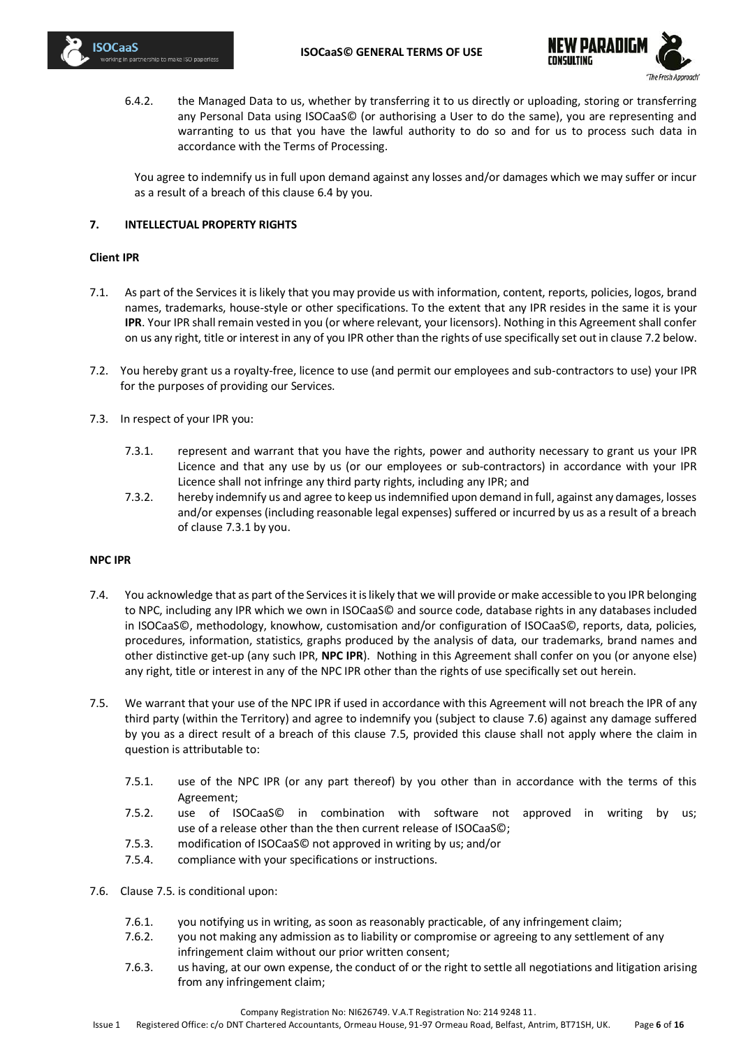



6.4.2. the Managed Data to us, whether by transferring it to us directly or uploading, storing or transferring any Personal Data using ISOCaaS© (or authorising a User to do the same), you are representing and warranting to us that you have the lawful authority to do so and for us to process such data in accordance with the Terms of Processing.

You agree to indemnify us in full upon demand against any losses and/or damages which we may suffer or incur as a result of a breach of this clause 6.4 by you.

# **7. INTELLECTUAL PROPERTY RIGHTS**

#### **Client IPR**

- 7.1. As part of the Services it is likely that you may provide us with information, content, reports, policies, logos, brand names, trademarks, house-style or other specifications. To the extent that any IPR resides in the same it is your **IPR**. Your IPR shall remain vested in you (or where relevant, your licensors). Nothing in this Agreement shall confer on us any right, title or interest in any of you IPR other than the rights of use specifically set out in clause 7.2 below.
- 7.2. You hereby grant us a royalty-free, licence to use (and permit our employees and sub-contractors to use) your IPR for the purposes of providing our Services.
- 7.3. In respect of your IPR you:
	- 7.3.1. represent and warrant that you have the rights, power and authority necessary to grant us your IPR Licence and that any use by us (or our employees or sub-contractors) in accordance with your IPR Licence shall not infringe any third party rights, including any IPR; and
	- 7.3.2. hereby indemnify us and agree to keep us indemnified upon demand in full, against any damages, losses and/or expenses (including reasonable legal expenses) suffered or incurred by us as a result of a breach of clause 7.3.1 by you.

#### **NPC IPR**

- 7.4. You acknowledge that as part of the Services it is likely that we will provide or make accessible to you IPR belonging to NPC, including any IPR which we own in ISOCaaS© and source code, database rights in any databases included in ISOCaaS©, methodology, knowhow, customisation and/or configuration of ISOCaaS©, reports, data, policies, procedures, information, statistics, graphs produced by the analysis of data, our trademarks, brand names and other distinctive get-up (any such IPR, **NPC IPR**). Nothing in this Agreement shall confer on you (or anyone else) any right, title or interest in any of the NPC IPR other than the rights of use specifically set out herein.
- 7.5. We warrant that your use of the NPC IPR if used in accordance with this Agreement will not breach the IPR of any third party (within the Territory) and agree to indemnify you (subject to clause 7.6) against any damage suffered by you as a direct result of a breach of this clause 7.5, provided this clause shall not apply where the claim in question is attributable to:
	- 7.5.1. use of the NPC IPR (or any part thereof) by you other than in accordance with the terms of this Agreement;
	- 7.5.2. use of ISOCaaS© in combination with software not approved in writing by us; use of a release other than the then current release of ISOCaaS©;
	- 7.5.3. modification of ISOCaaS© not approved in writing by us; and/or
	- 7.5.4. compliance with your specifications or instructions.
- 7.6. Clause 7.5. is conditional upon:
	- 7.6.1. you notifying us in writing, as soon as reasonably practicable, of any infringement claim;
	- 7.6.2. you not making any admission as to liability or compromise or agreeing to any settlement of any infringement claim without our prior written consent;
	- 7.6.3. us having, at our own expense, the conduct of or the right to settle all negotiations and litigation arising from any infringement claim;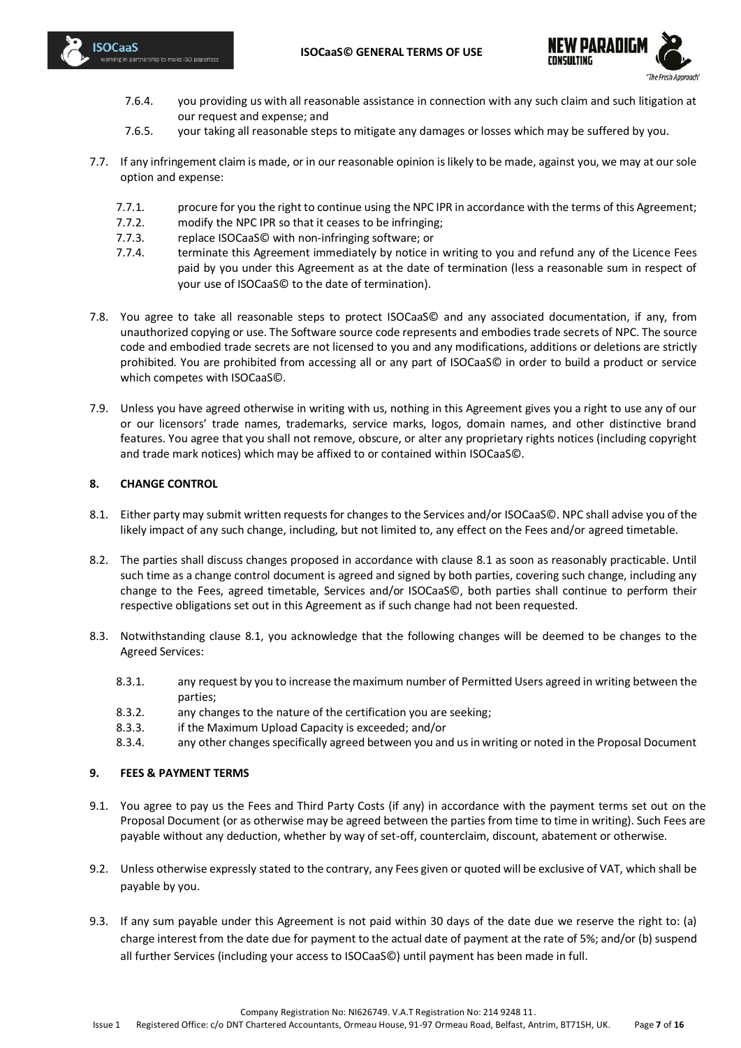



- 7.6.4. you providing us with all reasonable assistance in connection with any such claim and such litigation at our request and expense; and
- 7.6.5. your taking all reasonable steps to mitigate any damages or losses which may be suffered by you.
- 7.7. If any infringement claim is made, or in our reasonable opinion is likely to be made, against you, we may at our sole option and expense:
	- 7.7.1. procure for you the right to continue using the NPC IPR in accordance with the terms of this Agreement;
	- 7.7.2. modify the NPC IPR so that it ceases to be infringing;
	- 7.7.3. replace ISOCaaS© with non-infringing software; or
	- 7.7.4. terminate this Agreement immediately by notice in writing to you and refund any of the Licence Fees paid by you under this Agreement as at the date of termination (less a reasonable sum in respect of your use of ISOCaaS© to the date of termination).
- 7.8. You agree to take all reasonable steps to protect ISOCaaS© and any associated documentation, if any, from unauthorized copying or use. The Software source code represents and embodies trade secrets of NPC. The source code and embodied trade secrets are not licensed to you and any modifications, additions or deletions are strictly prohibited. You are prohibited from accessing all or any part of ISOCaaS© in order to build a product or service which competes with ISOCaaS©.
- 7.9. Unless you have agreed otherwise in writing with us, nothing in this Agreement gives you a right to use any of our or our licensors' trade names, trademarks, service marks, logos, domain names, and other distinctive brand features. You agree that you shall not remove, obscure, or alter any proprietary rights notices (including copyright and trade mark notices) which may be affixed to or contained within ISOCaaS©.

# **8. CHANGE CONTROL**

- 8.1. Either party may submit written requests for changes to the Services and/or ISOCaaS©. NPC shall advise you of the likely impact of any such change, including, but not limited to, any effect on the Fees and/or agreed timetable.
- 8.2. The parties shall discuss changes proposed in accordance with clause 8.1 as soon as reasonably practicable. Until such time as a change control document is agreed and signed by both parties, covering such change, including any change to the Fees, agreed timetable, Services and/or ISOCaaS©, both parties shall continue to perform their respective obligations set out in this Agreement as if such change had not been requested.
- 8.3. Notwithstanding clause 8.1, you acknowledge that the following changes will be deemed to be changes to the Agreed Services:
	- 8.3.1. any request by you to increase the maximum number of Permitted Users agreed in writing between the parties;
	- 8.3.2. any changes to the nature of the certification you are seeking;
	- 8.3.3. if the Maximum Upload Capacity is exceeded; and/or
	- 8.3.4. any other changes specifically agreed between you and us in writing or noted in the Proposal Document

### **9. FEES & PAYMENT TERMS**

- 9.1. You agree to pay us the Fees and Third Party Costs (if any) in accordance with the payment terms set out on the Proposal Document (or as otherwise may be agreed between the parties from time to time in writing). Such Fees are payable without any deduction, whether by way of set-off, counterclaim, discount, abatement or otherwise.
- 9.2. Unless otherwise expressly stated to the contrary, any Fees given or quoted will be exclusive of VAT, which shall be payable by you.
- 9.3. If any sum payable under this Agreement is not paid within 30 days of the date due we reserve the right to: (a) charge interest from the date due for payment to the actual date of payment at the rate of 5%; and/or (b) suspend all further Services (including your access to ISOCaaS©) until payment has been made in full.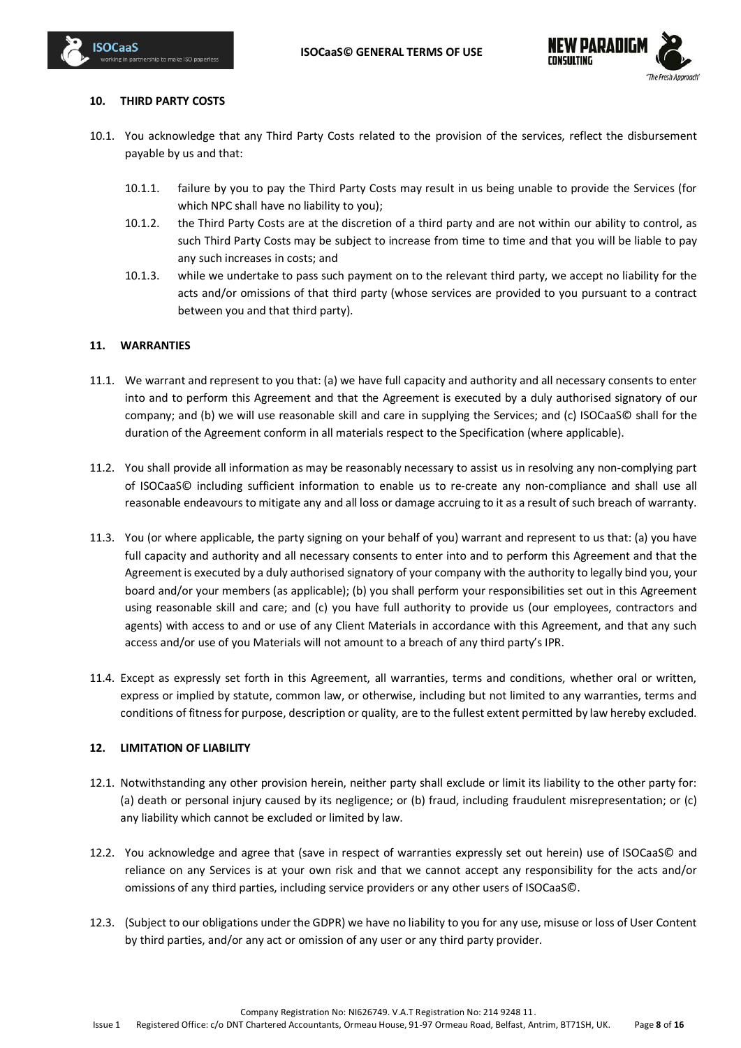



### **10. THIRD PARTY COSTS**

rtnership to make ISO paperles

**ISOCaaS** 

- 10.1. You acknowledge that any Third Party Costs related to the provision of the services, reflect the disbursement payable by us and that:
	- 10.1.1. failure by you to pay the Third Party Costs may result in us being unable to provide the Services (for which NPC shall have no liability to you);
	- 10.1.2. the Third Party Costs are at the discretion of a third party and are not within our ability to control, as such Third Party Costs may be subject to increase from time to time and that you will be liable to pay any such increases in costs; and
	- 10.1.3. while we undertake to pass such payment on to the relevant third party, we accept no liability for the acts and/or omissions of that third party (whose services are provided to you pursuant to a contract between you and that third party).

### **11. WARRANTIES**

- 11.1. We warrant and represent to you that: (a) we have full capacity and authority and all necessary consents to enter into and to perform this Agreement and that the Agreement is executed by a duly authorised signatory of our company; and (b) we will use reasonable skill and care in supplying the Services; and (c) ISOCaaS© shall for the duration of the Agreement conform in all materials respect to the Specification (where applicable).
- 11.2. You shall provide all information as may be reasonably necessary to assist us in resolving any non-complying part of ISOCaaS© including sufficient information to enable us to re-create any non-compliance and shall use all reasonable endeavours to mitigate any and all loss or damage accruing to it as a result of such breach of warranty.
- 11.3. You (or where applicable, the party signing on your behalf of you) warrant and represent to us that: (a) you have full capacity and authority and all necessary consents to enter into and to perform this Agreement and that the Agreement is executed by a duly authorised signatory of your company with the authority to legally bind you, your board and/or your members (as applicable); (b) you shall perform your responsibilities set out in this Agreement using reasonable skill and care; and (c) you have full authority to provide us (our employees, contractors and agents) with access to and or use of any Client Materials in accordance with this Agreement, and that any such access and/or use of you Materials will not amount to a breach of any third party's IPR.
- 11.4. Except as expressly set forth in this Agreement, all warranties, terms and conditions, whether oral or written, express or implied by statute, common law, or otherwise, including but not limited to any warranties, terms and conditions of fitness for purpose, description or quality, are to the fullest extent permitted by law hereby excluded.

### **12. LIMITATION OF LIABILITY**

- 12.1. Notwithstanding any other provision herein, neither party shall exclude or limit its liability to the other party for: (a) death or personal injury caused by its negligence; or (b) fraud, including fraudulent misrepresentation; or (c) any liability which cannot be excluded or limited by law.
- 12.2. You acknowledge and agree that (save in respect of warranties expressly set out herein) use of ISOCaaS© and reliance on any Services is at your own risk and that we cannot accept any responsibility for the acts and/or omissions of any third parties, including service providers or any other users of ISOCaaS©.
- 12.3. (Subject to our obligations under the GDPR) we have no liability to you for any use, misuse or loss of User Content by third parties, and/or any act or omission of any user or any third party provider.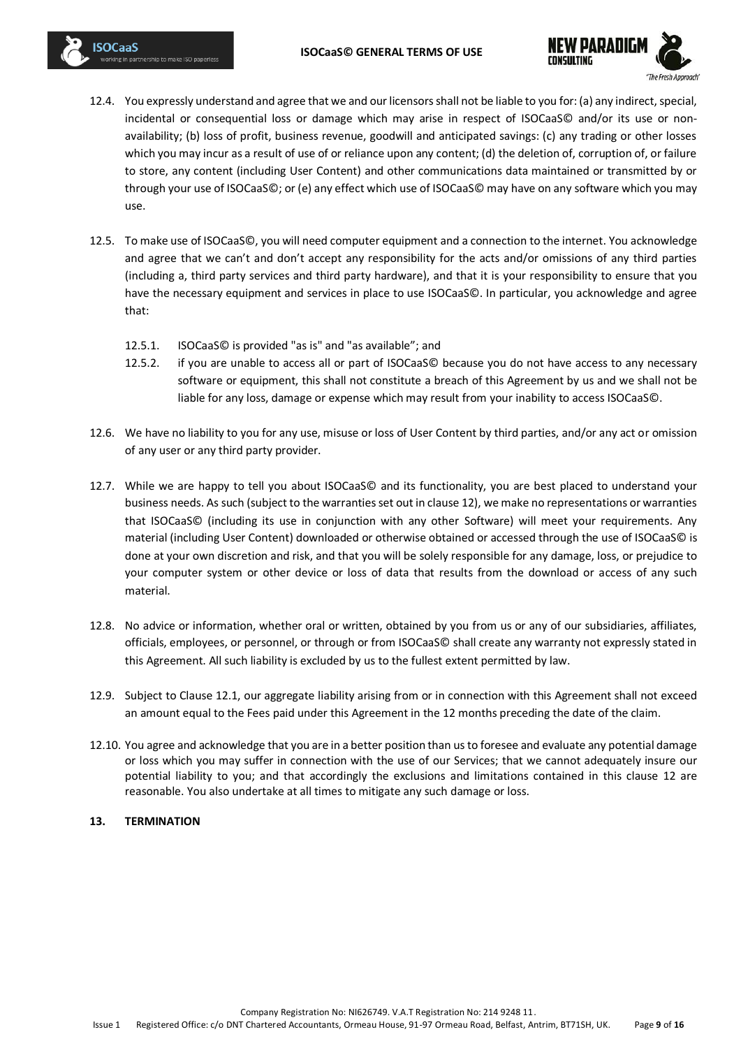

- 12.4. You expressly understand and agree that we and our licensors shall not be liable to you for: (a) any indirect, special, incidental or consequential loss or damage which may arise in respect of ISOCaaS© and/or its use or nonavailability; (b) loss of profit, business revenue, goodwill and anticipated savings: (c) any trading or other losses which you may incur as a result of use of or reliance upon any content; (d) the deletion of, corruption of, or failure to store, any content (including User Content) and other communications data maintained or transmitted by or through your use of ISOCaaS©; or (e) any effect which use of ISOCaaS© may have on any software which you may use.
- 12.5. To make use of ISOCaaS©, you will need computer equipment and a connection to the internet. You acknowledge and agree that we can't and don't accept any responsibility for the acts and/or omissions of any third parties (including a, third party services and third party hardware), and that it is your responsibility to ensure that you have the necessary equipment and services in place to use ISOCaaS©. In particular, you acknowledge and agree that:
	- 12.5.1. ISOCaaS© is provided "as is" and "as available"; and
	- 12.5.2. if you are unable to access all or part of ISOCaaS© because you do not have access to any necessary software or equipment, this shall not constitute a breach of this Agreement by us and we shall not be liable for any loss, damage or expense which may result from your inability to access ISOCaaS©.
- 12.6. We have no liability to you for any use, misuse or loss of User Content by third parties, and/or any act or omission of any user or any third party provider.
- 12.7. While we are happy to tell you about ISOCaaS© and its functionality, you are best placed to understand your business needs. As such (subject to the warranties set out in clause 12), we make no representations or warranties that ISOCaaS© (including its use in conjunction with any other Software) will meet your requirements. Any material (including User Content) downloaded or otherwise obtained or accessed through the use of ISOCaaS© is done at your own discretion and risk, and that you will be solely responsible for any damage, loss, or prejudice to your computer system or other device or loss of data that results from the download or access of any such material.
- 12.8. No advice or information, whether oral or written, obtained by you from us or any of our subsidiaries, affiliates, officials, employees, or personnel, or through or from ISOCaaS© shall create any warranty not expressly stated in this Agreement. All such liability is excluded by us to the fullest extent permitted by law.
- 12.9. Subject to Clause 12.1, our aggregate liability arising from or in connection with this Agreement shall not exceed an amount equal to the Fees paid under this Agreement in the 12 months preceding the date of the claim.
- 12.10. You agree and acknowledge that you are in a better position than usto foresee and evaluate any potential damage or loss which you may suffer in connection with the use of our Services; that we cannot adequately insure our potential liability to you; and that accordingly the exclusions and limitations contained in this clause 12 are reasonable. You also undertake at all times to mitigate any such damage or loss.

# **13. TERMINATION**

**SOCaaS** 

ership to make ISO paperles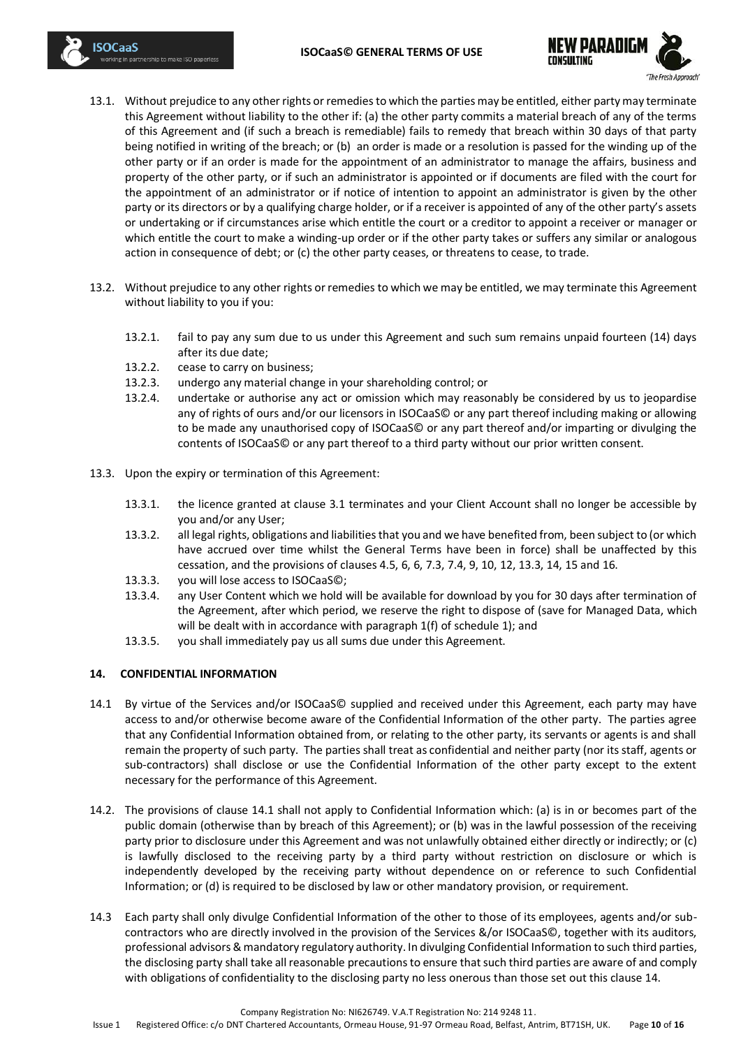

- 13.1. Without prejudice to any other rights or remedies to which the parties may be entitled, either party may terminate this Agreement without liability to the other if: (a) the other party commits a material breach of any of the terms of this Agreement and (if such a breach is remediable) fails to remedy that breach within 30 days of that party being notified in writing of the breach; or (b) an order is made or a resolution is passed for the winding up of the other party or if an order is made for the appointment of an administrator to manage the affairs, business and property of the other party, or if such an administrator is appointed or if documents are filed with the court for the appointment of an administrator or if notice of intention to appoint an administrator is given by the other party or its directors or by a qualifying charge holder, or if a receiver is appointed of any of the other party's assets or undertaking or if circumstances arise which entitle the court or a creditor to appoint a receiver or manager or which entitle the court to make a winding-up order or if the other party takes or suffers any similar or analogous action in consequence of debt; or (c) the other party ceases, or threatens to cease, to trade.
- 13.2. Without prejudice to any other rights or remedies to which we may be entitled, we may terminate this Agreement without liability to you if you:
	- 13.2.1. fail to pay any sum due to us under this Agreement and such sum remains unpaid fourteen (14) days after its due date;
	- 13.2.2. cease to carry on business;

**ISOCaaS** 

in partnership to make ISO paperles

- 13.2.3. undergo any material change in your shareholding control; or
- 13.2.4. undertake or authorise any act or omission which may reasonably be considered by us to jeopardise any of rights of ours and/or our licensors in ISOCaaS© or any part thereof including making or allowing to be made any unauthorised copy of ISOCaaS© or any part thereof and/or imparting or divulging the contents of ISOCaaS© or any part thereof to a third party without our prior written consent.
- 13.3. Upon the expiry or termination of this Agreement:
	- 13.3.1. the licence granted at clause 3.1 terminates and your Client Account shall no longer be accessible by you and/or any User;
	- 13.3.2. all legal rights, obligations and liabilities that you and we have benefited from, been subject to (or which have accrued over time whilst the General Terms have been in force) shall be unaffected by this cessation, and the provisions of clauses 4.5, 6, 6, 7.3, 7.4, 9, 10, 12, 13.3, 14, 15 and 16.
	- 13.3.3. you will lose access to ISOCaaS©;
	- 13.3.4. any User Content which we hold will be available for download by you for 30 days after termination of the Agreement, after which period, we reserve the right to dispose of (save for Managed Data, which will be dealt with in accordance with paragraph 1(f) of schedule 1); and
	- 13.3.5. you shall immediately pay us all sums due under this Agreement.

### **14. CONFIDENTIAL INFORMATION**

- 14.1 By virtue of the Services and/or ISOCaaS© supplied and received under this Agreement, each party may have access to and/or otherwise become aware of the Confidential Information of the other party. The parties agree that any Confidential Information obtained from, or relating to the other party, its servants or agents is and shall remain the property of such party. The parties shall treat as confidential and neither party (nor its staff, agents or sub-contractors) shall disclose or use the Confidential Information of the other party except to the extent necessary for the performance of this Agreement.
- 14.2. The provisions of clause 14.1 shall not apply to Confidential Information which: (a) is in or becomes part of the public domain (otherwise than by breach of this Agreement); or (b) was in the lawful possession of the receiving party prior to disclosure under this Agreement and was not unlawfully obtained either directly or indirectly; or (c) is lawfully disclosed to the receiving party by a third party without restriction on disclosure or which is independently developed by the receiving party without dependence on or reference to such Confidential Information; or (d) is required to be disclosed by law or other mandatory provision, or requirement.
- 14.3 Each party shall only divulge Confidential Information of the other to those of its employees, agents and/or subcontractors who are directly involved in the provision of the Services &/or ISOCaaS©, together with its auditors, professional advisors & mandatory regulatory authority. In divulging Confidential Information to such third parties, the disclosing party shall take all reasonable precautions to ensure that such third parties are aware of and comply with obligations of confidentiality to the disclosing party no less onerous than those set out this clause 14.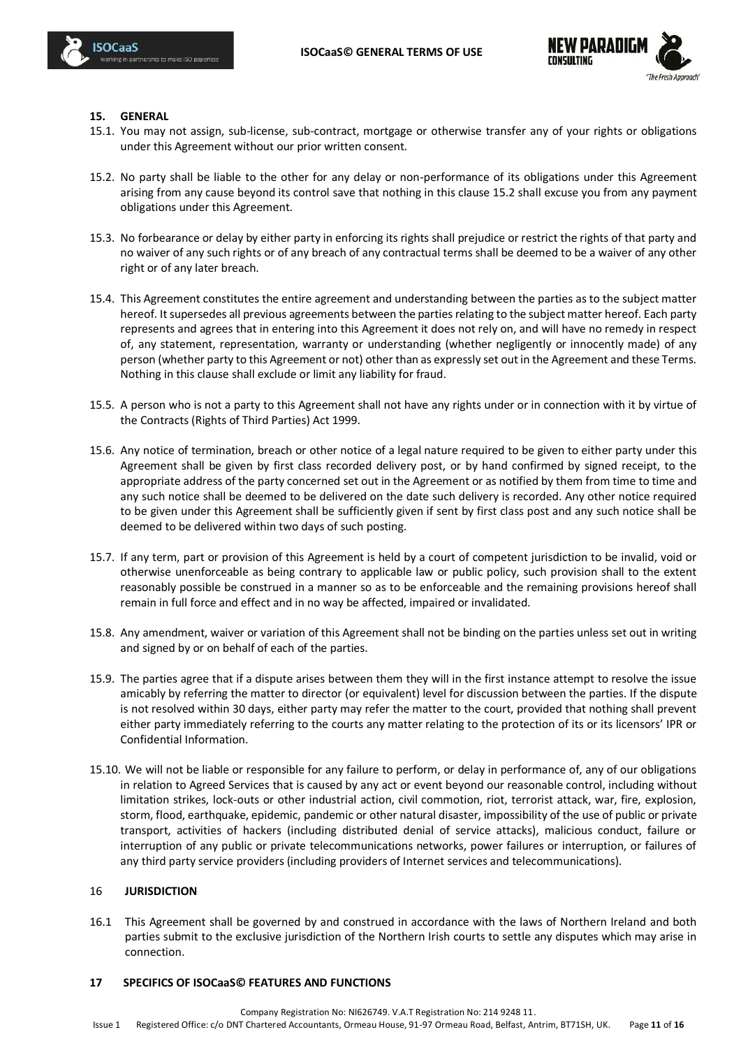



#### **15. GENERAL**

- 15.1. You may not assign, sub-license, sub-contract, mortgage or otherwise transfer any of your rights or obligations under this Agreement without our prior written consent.
- 15.2. No party shall be liable to the other for any delay or non-performance of its obligations under this Agreement arising from any cause beyond its control save that nothing in this clause 15.2 shall excuse you from any payment obligations under this Agreement.
- 15.3. No forbearance or delay by either party in enforcing its rights shall prejudice or restrict the rights of that party and no waiver of any such rights or of any breach of any contractual terms shall be deemed to be a waiver of any other right or of any later breach.
- 15.4. This Agreement constitutes the entire agreement and understanding between the parties as to the subject matter hereof. It supersedes all previous agreements between the parties relating to the subject matter hereof. Each party represents and agrees that in entering into this Agreement it does not rely on, and will have no remedy in respect of, any statement, representation, warranty or understanding (whether negligently or innocently made) of any person (whether party to this Agreement or not) other than as expressly set out in the Agreement and these Terms. Nothing in this clause shall exclude or limit any liability for fraud.
- 15.5. A person who is not a party to this Agreement shall not have any rights under or in connection with it by virtue of the Contracts (Rights of Third Parties) Act 1999.
- 15.6. Any notice of termination, breach or other notice of a legal nature required to be given to either party under this Agreement shall be given by first class recorded delivery post, or by hand confirmed by signed receipt, to the appropriate address of the party concerned set out in the Agreement or as notified by them from time to time and any such notice shall be deemed to be delivered on the date such delivery is recorded. Any other notice required to be given under this Agreement shall be sufficiently given if sent by first class post and any such notice shall be deemed to be delivered within two days of such posting.
- 15.7. If any term, part or provision of this Agreement is held by a court of competent jurisdiction to be invalid, void or otherwise unenforceable as being contrary to applicable law or public policy, such provision shall to the extent reasonably possible be construed in a manner so as to be enforceable and the remaining provisions hereof shall remain in full force and effect and in no way be affected, impaired or invalidated.
- 15.8. Any amendment, waiver or variation of this Agreement shall not be binding on the parties unless set out in writing and signed by or on behalf of each of the parties.
- 15.9. The parties agree that if a dispute arises between them they will in the first instance attempt to resolve the issue amicably by referring the matter to director (or equivalent) level for discussion between the parties. If the dispute is not resolved within 30 days, either party may refer the matter to the court, provided that nothing shall prevent either party immediately referring to the courts any matter relating to the protection of its or its licensors' IPR or Confidential Information.
- 15.10. We will not be liable or responsible for any failure to perform, or delay in performance of, any of our obligations in relation to Agreed Services that is caused by any act or event beyond our reasonable control, including without limitation strikes, lock-outs or other industrial action, civil commotion, riot, terrorist attack, war, fire, explosion, storm, flood, earthquake, epidemic, pandemic or other natural disaster, impossibility of the use of public or private transport, activities of hackers (including distributed denial of service attacks), malicious conduct, failure or interruption of any public or private telecommunications networks, power failures or interruption, or failures of any third party service providers (including providers of Internet services and telecommunications).

### 16 **JURISDICTION**

16.1 This Agreement shall be governed by and construed in accordance with the laws of Northern Ireland and both parties submit to the exclusive jurisdiction of the Northern Irish courts to settle any disputes which may arise in connection.

#### **17 SPECIFICS OF ISOCaaS© FEATURES AND FUNCTIONS**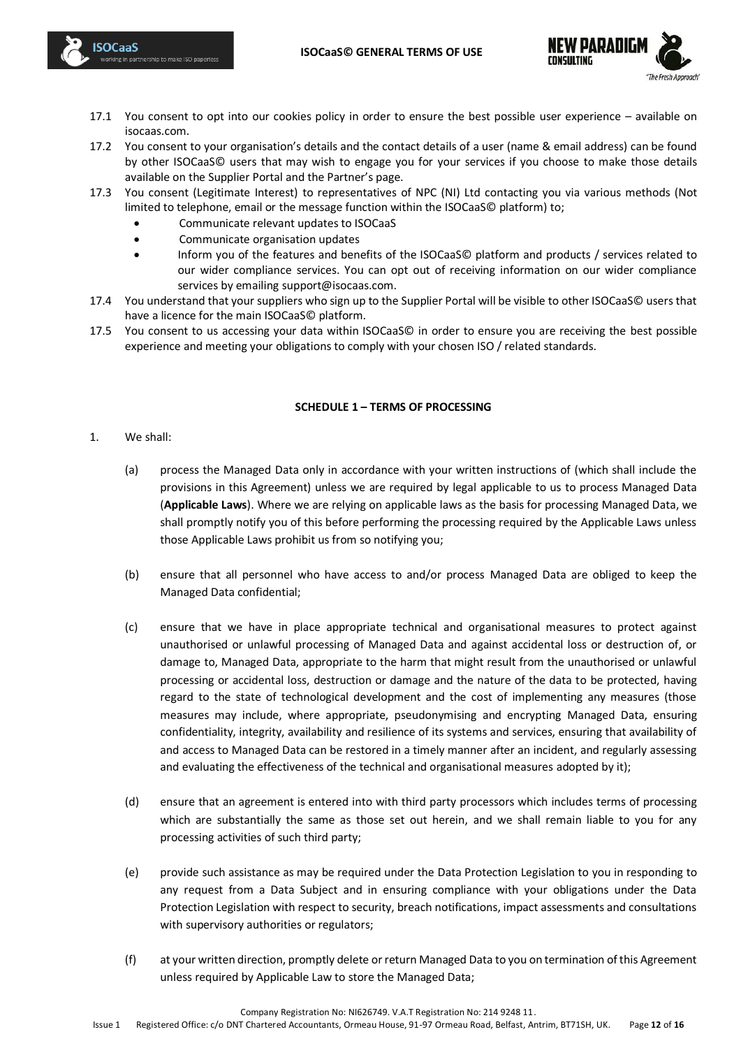



- 17.1 You consent to opt into our cookies policy in order to ensure the best possible user experience available on isocaas.com.
- 17.2 You consent to your organisation's details and the contact details of a user (name & email address) can be found by other ISOCaaS© users that may wish to engage you for your services if you choose to make those details available on the Supplier Portal and the Partner's page.
- 17.3 You consent (Legitimate Interest) to representatives of NPC (NI) Ltd contacting you via various methods (Not limited to telephone, email or the message function within the ISOCaaS© platform) to;
	- Communicate relevant updates to ISOCaaS
	- Communicate organisation updates
	- Inform you of the features and benefits of the ISOCaaS© platform and products / services related to our wider compliance services. You can opt out of receiving information on our wider compliance services by emailing support@isocaas.com.
- 17.4 You understand that your suppliers who sign up to the Supplier Portal will be visible to other ISOCaaS© users that have a licence for the main ISOCaaS© platform.
- 17.5 You consent to us accessing your data within ISOCaaS© in order to ensure you are receiving the best possible experience and meeting your obligations to comply with your chosen ISO / related standards.

# **SCHEDULE 1 – TERMS OF PROCESSING**

1. We shall:

**ISOCaaS** 

in partnership to make ISO paperles

- (a) process the Managed Data only in accordance with your written instructions of (which shall include the provisions in this Agreement) unless we are required by legal applicable to us to process Managed Data (**Applicable Laws**). Where we are relying on applicable laws as the basis for processing Managed Data, we shall promptly notify you of this before performing the processing required by the Applicable Laws unless those Applicable Laws prohibit us from so notifying you;
- (b) ensure that all personnel who have access to and/or process Managed Data are obliged to keep the Managed Data confidential;
- (c) ensure that we have in place appropriate technical and organisational measures to protect against unauthorised or unlawful processing of Managed Data and against accidental loss or destruction of, or damage to, Managed Data, appropriate to the harm that might result from the unauthorised or unlawful processing or accidental loss, destruction or damage and the nature of the data to be protected, having regard to the state of technological development and the cost of implementing any measures (those measures may include, where appropriate, pseudonymising and encrypting Managed Data, ensuring confidentiality, integrity, availability and resilience of its systems and services, ensuring that availability of and access to Managed Data can be restored in a timely manner after an incident, and regularly assessing and evaluating the effectiveness of the technical and organisational measures adopted by it);
- (d) ensure that an agreement is entered into with third party processors which includes terms of processing which are substantially the same as those set out herein, and we shall remain liable to you for any processing activities of such third party;
- (e) provide such assistance as may be required under the Data Protection Legislation to you in responding to any request from a Data Subject and in ensuring compliance with your obligations under the Data Protection Legislation with respect to security, breach notifications, impact assessments and consultations with supervisory authorities or regulators;
- (f) at your written direction, promptly delete or return Managed Data to you on termination of this Agreement unless required by Applicable Law to store the Managed Data;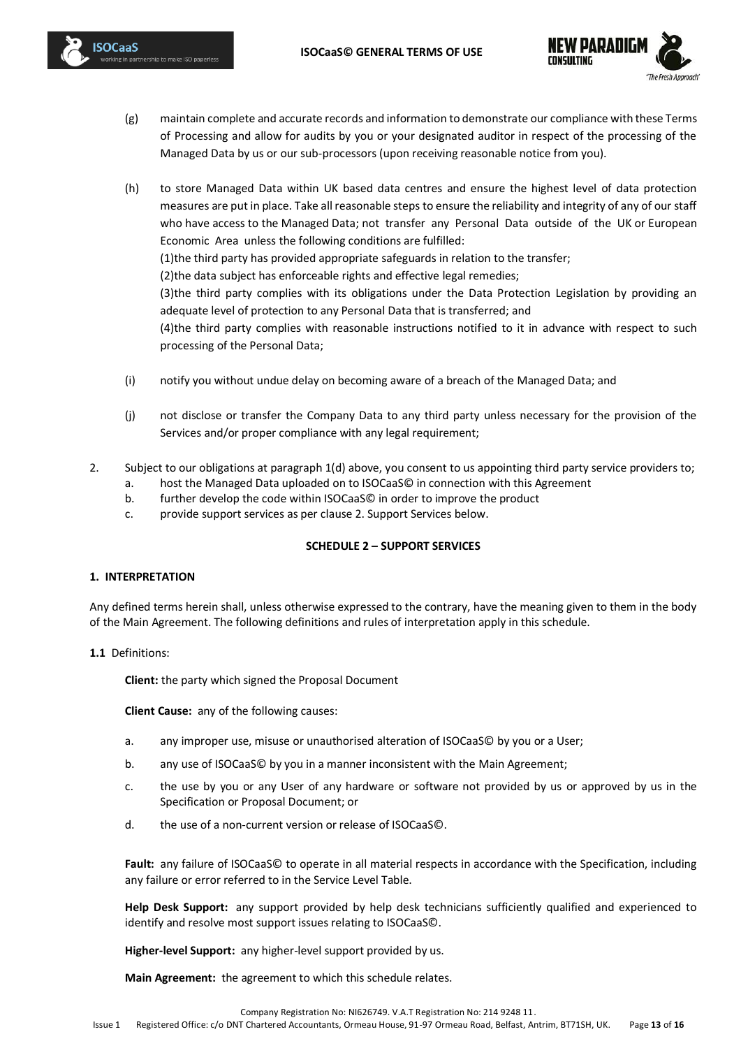

- (g) maintain complete and accurate records and information to demonstrate our compliance with these Terms of Processing and allow for audits by you or your designated auditor in respect of the processing of the Managed Data by us or our sub-processors (upon receiving reasonable notice from you).
- (h) to store Managed Data within UK based data centres and ensure the highest level of data protection measures are put in place. Take all reasonable steps to ensure the reliability and integrity of any of our staff who have access to the Managed Data; not transfer any Personal Data outside of the UK or European Economic Area unless the following conditions are fulfilled: (1)the third party has provided appropriate safeguards in relation to the transfer; (2)the data subject has enforceable rights and effective legal remedies; (3)the third party complies with its obligations under the Data Protection Legislation by providing an adequate level of protection to any Personal Data that is transferred; and (4)the third party complies with reasonable instructions notified to it in advance with respect to such processing of the Personal Data;
- (i) notify you without undue delay on becoming aware of a breach of the Managed Data; and
- (j) not disclose or transfer the Company Data to any third party unless necessary for the provision of the Services and/or proper compliance with any legal requirement;
- 2. Subject to our obligations at paragraph 1(d) above, you consent to us appointing third party service providers to;
	- a. host the Managed Data uploaded on to ISOCaaS© in connection with this Agreement
	- b. further develop the code within ISOCaaS© in order to improve the product
	- c. provide support services as per clause 2. Support Services below.

### **SCHEDULE 2 – SUPPORT SERVICES**

### **1. INTERPRETATION**

**ISOCaaS** 

Any defined terms herein shall, unless otherwise expressed to the contrary, have the meaning given to them in the body of the Main Agreement. The following definitions and rules of interpretation apply in this schedule.

**1.1** Definitions:

**Client:** the party which signed the Proposal Document

**Client Cause:** any of the following causes:

- a. any improper use, misuse or unauthorised alteration of ISOCaaS© by you or a User;
- b. any use of ISOCaaS© by you in a manner inconsistent with the Main Agreement;
- c. the use by you or any User of any hardware or software not provided by us or approved by us in the Specification or Proposal Document; or
- d. the use of a non-current version or release of ISOCaaS©.

**Fault:** any failure of ISOCaaS© to operate in all material respects in accordance with the Specification, including any failure or error referred to in the Service Level Table.

**Help Desk Support:** any support provided by help desk technicians sufficiently qualified and experienced to identify and resolve most support issues relating to ISOCaaS©.

**Higher-level Support:** any higher-level support provided by us.

**Main Agreement:** the agreement to which this schedule relates.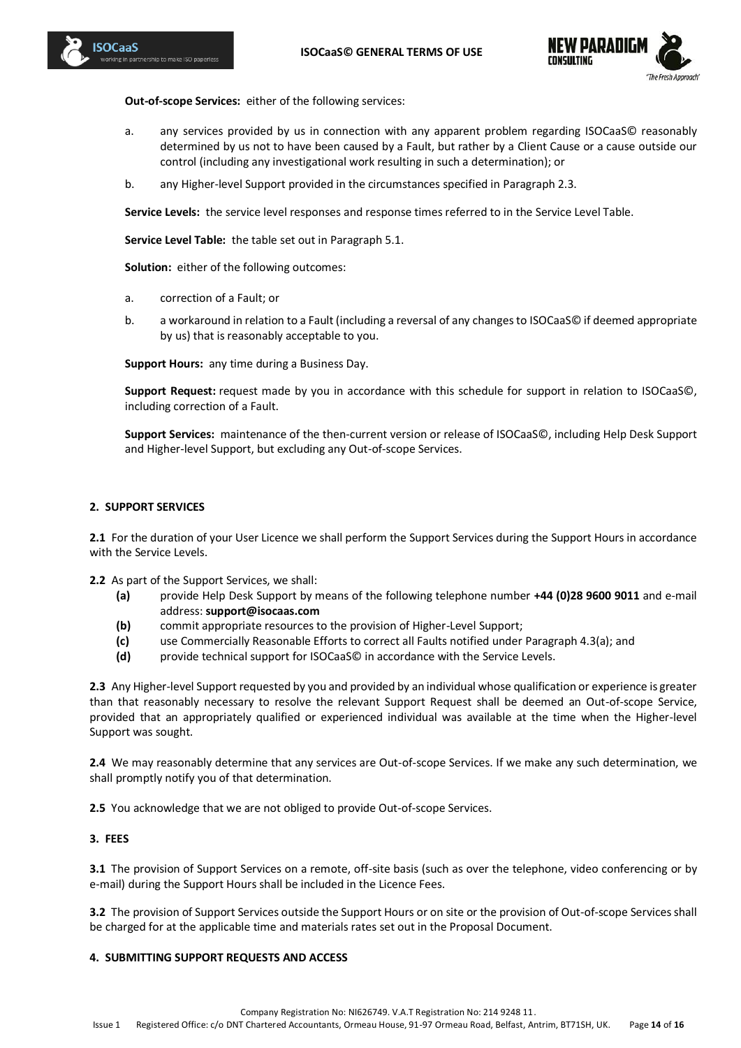

**Out-of-scope Services:** either of the following services:

- a. any services provided by us in connection with any apparent problem regarding ISOCaaS© reasonably determined by us not to have been caused by a Fault, but rather by a Client Cause or a cause outside our control (including any investigational work resulting in such a determination); or
- b. any Higher-level Support provided in the circumstances specified in [Paragraph 2.3.](#page-13-0)

**Service Levels:** the service level responses and response times referred to in the Service Level Table.

**Service Level Table:** the table set out i[n Paragraph 5.1.](#page-14-0)

**Solution:** either of the following outcomes:

- a. correction of a Fault; or
- b. a workaround in relation to a Fault (including a reversal of any changes to ISOCaaS© if deemed appropriate by us) that is reasonably acceptable to you.

**Support Hours:** any time during a Business Day.

**Support Request:** request made by you in accordance with this schedule for support in relation to ISOCaaS©, including correction of a Fault.

**Support Services:** maintenance of the then-current version or release of ISOCaaS©, including Help Desk Support and Higher-level Support, but excluding any Out-of-scope Services.

#### **2. SUPPORT SERVICES**

**ISOCaaS** 

rtnership to make ISO paperles

**2.1** For the duration of your User Licence we shall perform the Support Services during the Support Hours in accordance with the Service Levels.

**2.2** As part of the Support Services, we shall:

- **(a)** provide Help Desk Support by means of the following telephone number **+44 (0)28 9600 9011** and e-mail address: **support@isocaas.com**
- **(b)** commit appropriate resources to the provision of Higher-Level Support;
- **(c)** use Commercially Reasonable Efforts to correct all Faults notified under [Paragraph 4.3\(a\);](#page-14-1) and
- **(d)** provide technical support for ISOCaaS© in accordance with the Service Levels.

<span id="page-13-0"></span>**2.3** Any Higher-level Support requested by you and provided by an individual whose qualification or experience is greater than that reasonably necessary to resolve the relevant Support Request shall be deemed an Out-of-scope Service, provided that an appropriately qualified or experienced individual was available at the time when the Higher-level Support was sought.

**2.4** We may reasonably determine that any services are Out-of-scope Services. If we make any such determination, we shall promptly notify you of that determination.

**2.5** You acknowledge that we are not obliged to provide Out-of-scope Services.

### **3. FEES**

**3.1** The provision of Support Services on a remote, off-site basis (such as over the telephone, video conferencing or by e-mail) during the Support Hours shall be included in the Licence Fees.

**3.2** The provision of Support Services outside the Support Hours or on site or the provision of Out-of-scope Services shall be charged for at the applicable time and materials rates set out in the Proposal Document.

#### **4. SUBMITTING SUPPORT REQUESTS AND ACCESS**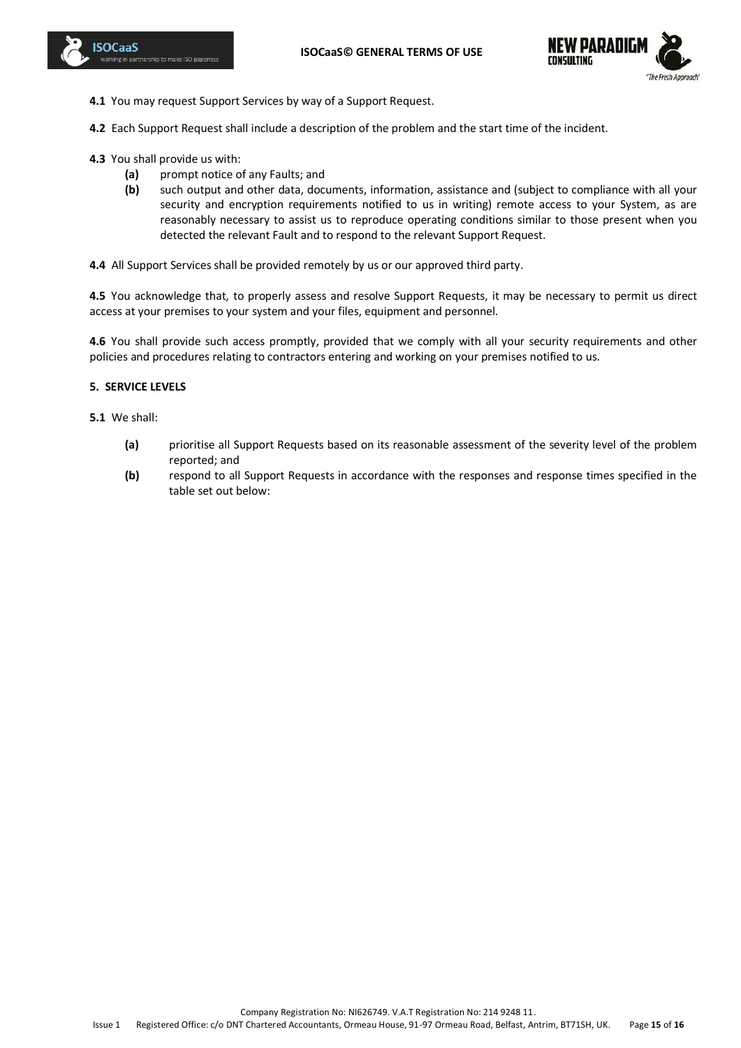



- **4.1** You may request Support Services by way of a Support Request.
- **4.2** Each Support Request shall include a description of the problem and the start time of the incident.
- <span id="page-14-1"></span>**4.3** You shall provide us with:
	- **(a)** prompt notice of any Faults; and
	- **(b)** such output and other data, documents, information, assistance and (subject to compliance with all your security and encryption requirements notified to us in writing) remote access to your System, as are reasonably necessary to assist us to reproduce operating conditions similar to those present when you detected the relevant Fault and to respond to the relevant Support Request.

**4.4** All Support Services shall be provided remotely by us or our approved third party.

**4.5** You acknowledge that, to properly assess and resolve Support Requests, it may be necessary to permit us direct access at your premises to your system and your files, equipment and personnel.

**4.6** You shall provide such access promptly, provided that we comply with all your security requirements and other policies and procedures relating to contractors entering and working on your premises notified to us.

#### <span id="page-14-0"></span>**5. SERVICE LEVELS**

**5.1** We shall:

- **(a)** prioritise all Support Requests based on its reasonable assessment of the severity level of the problem reported; and
- **(b)** respond to all Support Requests in accordance with the responses and response times specified in the table set out below: